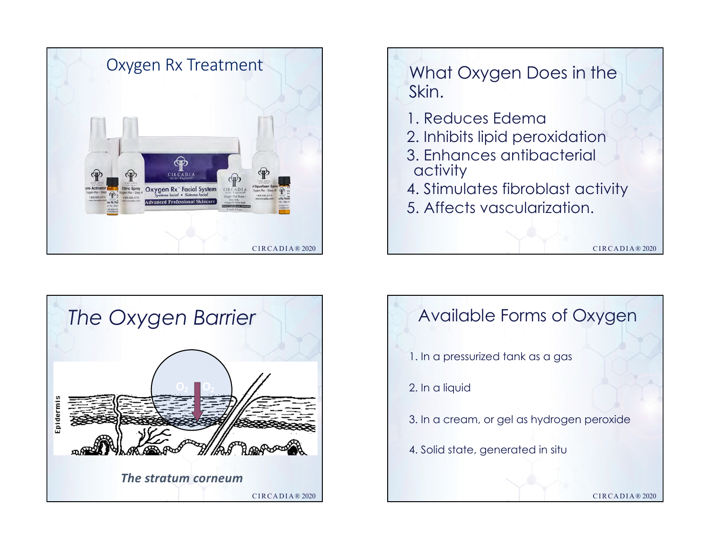





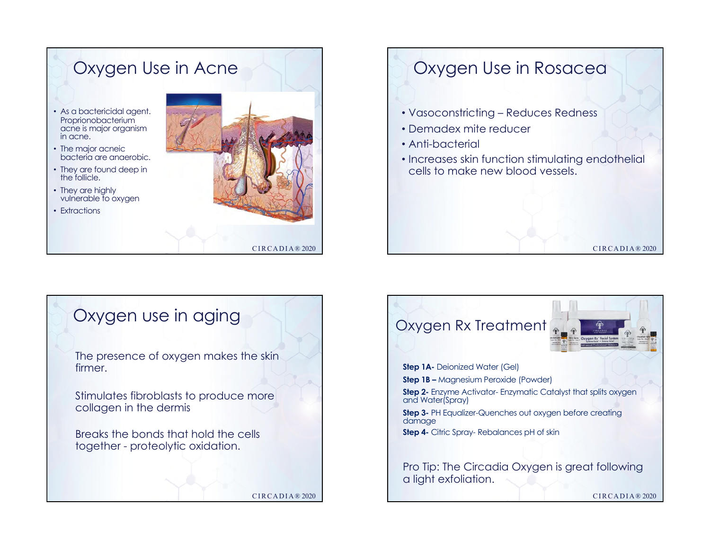## Oxygen Use in Acne • As a bactericidal agent. Proprionobacterium acne is major organism in acne. • The major acneic bacteria are anaerobic. • They are found deep in the follicle. • They are highly vulnerable to oxygen • Extractions

# Oxygen Use in Rosacea

- Vasoconstricting Reduces Redness
- Demadex mite reducer
- Anti-bacterial
- Increases skin function stimulating endothelial cells to make new blood vessels.

CIRCADIA® 2020



CIRCADIA® 2020

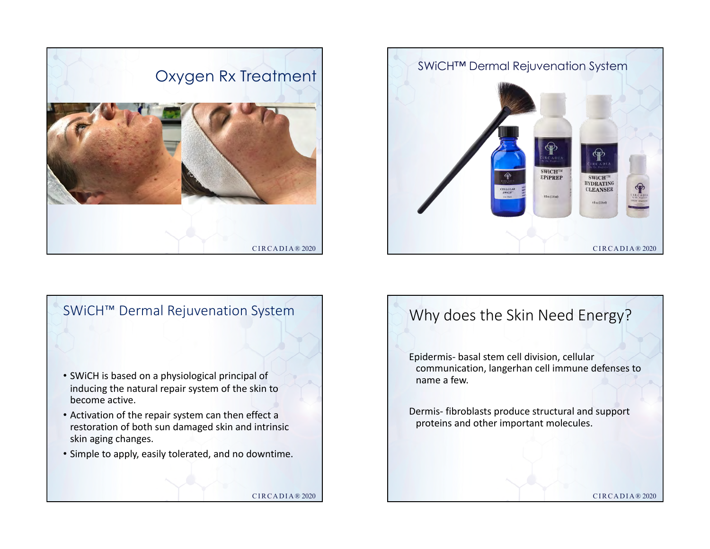





## Why does the Skin Need Energy?

Epidermis- basal stem cell division, cellular communication, langerhan cell immune defenses to name a few.

Dermis- fibroblasts produce structural and support proteins and other important molecules.

CIRCADIA® 2020

CIRCADIA® 2020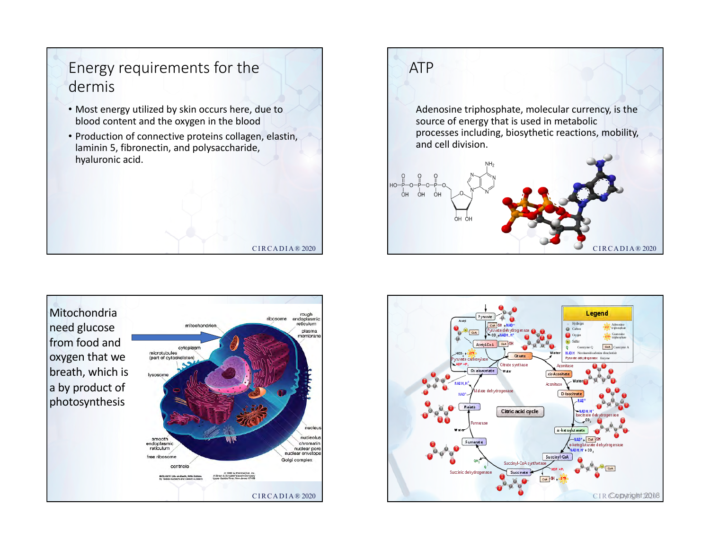# Energy requirements for the dermis

- Most energy utilized by skin occurs here, due to blood content and the oxygen in the blood
- Production of connective proteins collagen, elastin, laminin 5, fibronectin, and polysaccharide, hyaluronic acid.

CIRCADIA® 2020





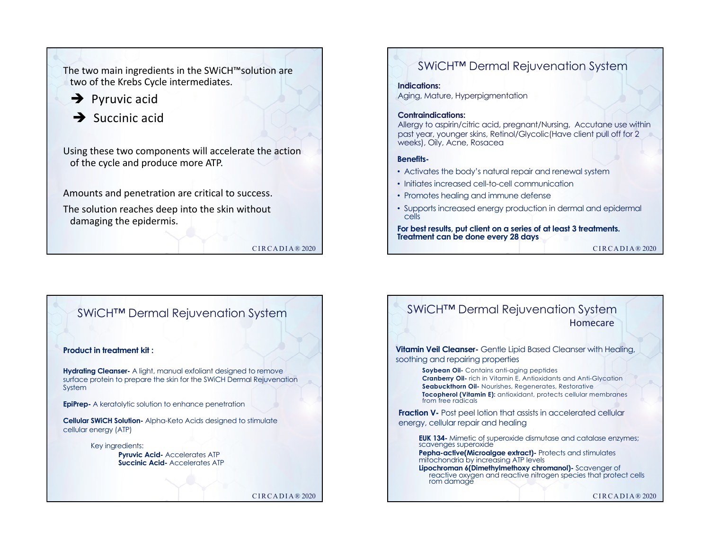

CIRCADIA® 2020

### SWiCH™ Dermal Rejuvenation System

**Indications:** 

Aging, Mature, Hyperpigmentation

#### **Contraindications:**

Allergy to aspirin/citric acid, pregnant/Nursing, Accutane use within past year, younger skins, Retinol/Glycolic(Have client pull off for 2 weeks), Oily, Acne, Rosacea

#### **Benefits-**

- Activates the body's natural repair and renewal system
- Initiates increased cell-to-cell communication
- Promotes healing and immune defense
- Supports increased energy production in dermal and epidermal cells

**For best results, put client on a series of at least 3 treatments. Treatment can be done every 28 days** 

```
CIRCADIA® 2020
```